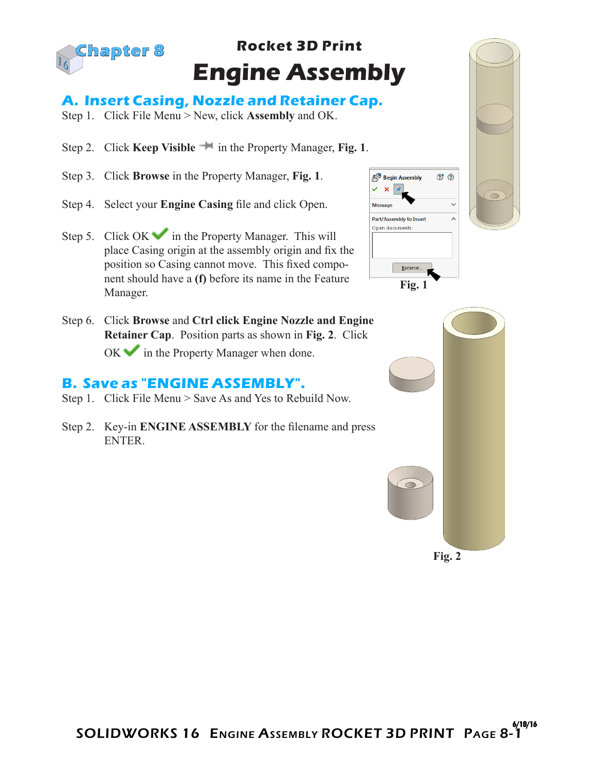

## **Rocket 3D Print Engine Assembly**

## **A. Insert Casing, Nozzle and Retainer Cap.**

- Step 1. Click File Menu > New, click **Assembly** and OK.
- Step 2. Click **Keep Visible in** the Property Manager, **Fig. 1**.
- Step 3. Click **Browse** in the Property Manager, **Fig. 1**.
- Step 4. Select your **Engine Casing** file and click Open.



Step 6. Click **Browse** and **Ctrl click Engine Nozzle and Engine Retainer Cap**. Position parts as shown in **Fig. 2**. Click  $OK \rightarrow$  in the Property Manager when done.

## **B. Save as "ENGINE ASSEMBLY".**

- Step 1. Click File Menu > Save As and Yes to Rebuild Now.
- Step 2. Key-in **ENGINE ASSEMBLY** for the filename and press ENTER.



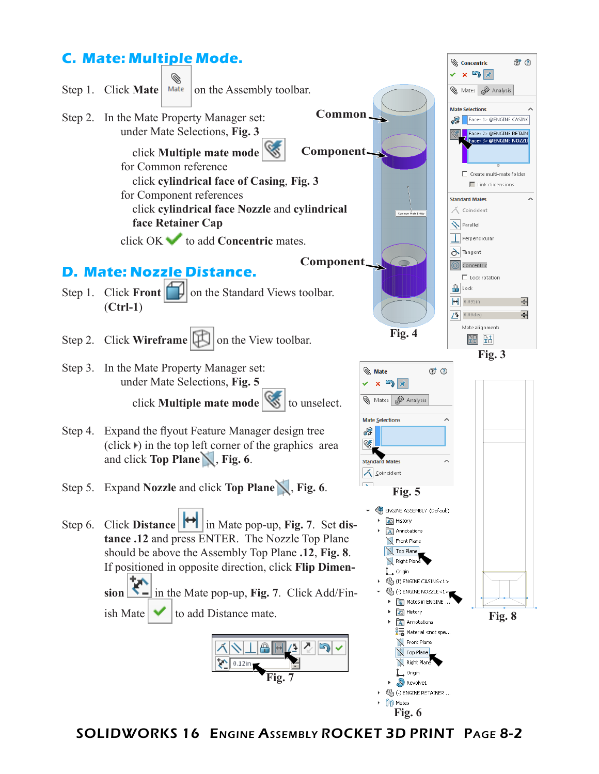

SOLIDWORKS 16 Engine Assembly ROCKET 3D PRINT Page 8-2